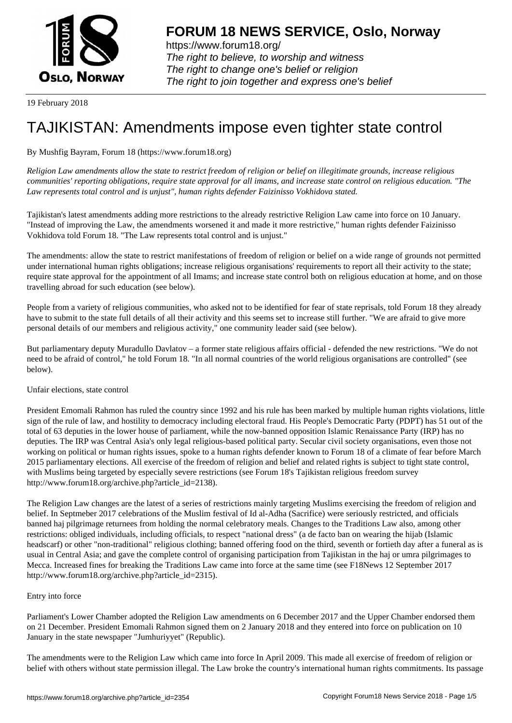

https://www.forum18.org/ The right to believe, to worship and witness The right to change one's belief or religion [The right to join together a](https://www.forum18.org/)nd express one's belief

19 February 2018

# [TAJIKISTAN: A](https://www.forum18.org)mendments impose even tighter state control

## By Mushfig Bayram, Forum 18 (https://www.forum18.org)

*Religion Law amendments allow the state to restrict freedom of religion or belief on illegitimate grounds, increase religious communities' reporting obligations, require state approval for all imams, and increase state control on religious education. "The Law represents total control and is unjust", human rights defender Faizinisso Vokhidova stated.*

Tajikistan's latest amendments adding more restrictions to the already restrictive Religion Law came into force on 10 January. "Instead of improving the Law, the amendments worsened it and made it more restrictive," human rights defender Faizinisso Vokhidova told Forum 18. "The Law represents total control and is unjust."

The amendments: allow the state to restrict manifestations of freedom of religion or belief on a wide range of grounds not permitted under international human rights obligations; increase religious organisations' requirements to report all their activity to the state; require state approval for the appointment of all Imams; and increase state control both on religious education at home, and on those travelling abroad for such education (see below).

People from a variety of religious communities, who asked not to be identified for fear of state reprisals, told Forum 18 they already have to submit to the state full details of all their activity and this seems set to increase still further. "We are afraid to give more personal details of our members and religious activity," one community leader said (see below).

But parliamentary deputy Muradullo Davlatov – a former state religious affairs official - defended the new restrictions. "We do not need to be afraid of control," he told Forum 18. "In all normal countries of the world religious organisations are controlled" (see below).

### Unfair elections, state control

President Emomali Rahmon has ruled the country since 1992 and his rule has been marked by multiple human rights violations, little sign of the rule of law, and hostility to democracy including electoral fraud. His People's Democratic Party (PDPT) has 51 out of the total of 63 deputies in the lower house of parliament, while the now-banned opposition Islamic Renaissance Party (IRP) has no deputies. The IRP was Central Asia's only legal religious-based political party. Secular civil society organisations, even those not working on political or human rights issues, spoke to a human rights defender known to Forum 18 of a climate of fear before March 2015 parliamentary elections. All exercise of the freedom of religion and belief and related rights is subject to tight state control, with Muslims being targeted by especially severe restrictions (see Forum 18's Tajikistan religious freedom survey http://www.forum18.org/archive.php?article\_id=2138).

The Religion Law changes are the latest of a series of restrictions mainly targeting Muslims exercising the freedom of religion and belief. In Septmeber 2017 celebrations of the Muslim festival of Id al-Adha (Sacrifice) were seriously restricted, and officials banned haj pilgrimage returnees from holding the normal celebratory meals. Changes to the Traditions Law also, among other restrictions: obliged individuals, including officials, to respect "national dress" (a de facto ban on wearing the hijab (Islamic headscarf) or other "non-traditional" religious clothing; banned offering food on the third, seventh or fortieth day after a funeral as is usual in Central Asia; and gave the complete control of organising participation from Tajikistan in the haj or umra pilgrimages to Mecca. Increased fines for breaking the Traditions Law came into force at the same time (see F18News 12 September 2017 http://www.forum18.org/archive.php?article\_id=2315).

### Entry into force

Parliament's Lower Chamber adopted the Religion Law amendments on 6 December 2017 and the Upper Chamber endorsed them on 21 December. President Emomali Rahmon signed them on 2 January 2018 and they entered into force on publication on 10 January in the state newspaper "Jumhuriyyet" (Republic).

The amendments were to the Religion Law which came into force In April 2009. This made all exercise of freedom of religion or belief with others without state permission illegal. The Law broke the country's international human rights commitments. Its passage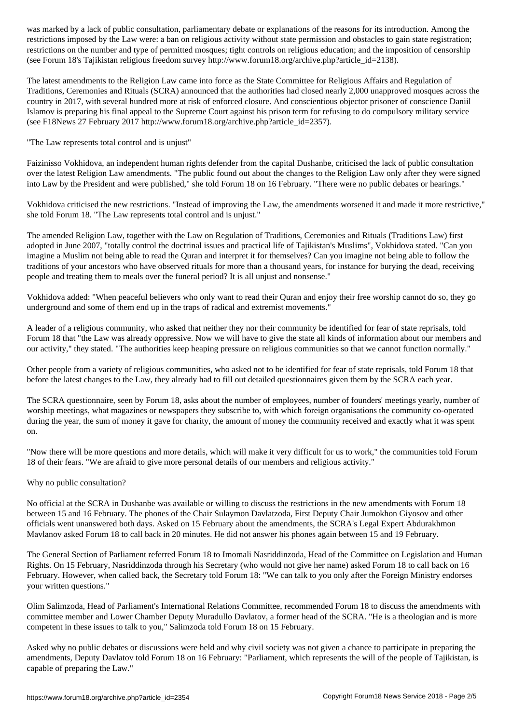restrictions imposed by the Law were: a ban on religious activity without state permission and obstacles to gain state registration; restrictions on the number and type of permitted mosques; tight controls on religious education; and the imposition of censorship (see Forum 18's Tajikistan religious freedom survey http://www.forum18.org/archive.php?article\_id=2138).

The latest amendments to the Religion Law came into force as the State Committee for Religious Affairs and Regulation of Traditions, Ceremonies and Rituals (SCRA) announced that the authorities had closed nearly 2,000 unapproved mosques across the country in 2017, with several hundred more at risk of enforced closure. And conscientious objector prisoner of conscience Daniil Islamov is preparing his final appeal to the Supreme Court against his prison term for refusing to do compulsory military service (see F18News 27 February 2017 http://www.forum18.org/archive.php?article\_id=2357).

"The Law represents total control and is unjust"

Faizinisso Vokhidova, an independent human rights defender from the capital Dushanbe, criticised the lack of public consultation over the latest Religion Law amendments. "The public found out about the changes to the Religion Law only after they were signed into Law by the President and were published," she told Forum 18 on 16 February. "There were no public debates or hearings."

Vokhidova criticised the new restrictions. "Instead of improving the Law, the amendments worsened it and made it more restrictive," she told Forum 18. "The Law represents total control and is unjust."

The amended Religion Law, together with the Law on Regulation of Traditions, Ceremonies and Rituals (Traditions Law) first adopted in June 2007, "totally control the doctrinal issues and practical life of Tajikistan's Muslims", Vokhidova stated. "Can you imagine a Muslim not being able to read the Quran and interpret it for themselves? Can you imagine not being able to follow the traditions of your ancestors who have observed rituals for more than a thousand years, for instance for burying the dead, receiving people and treating them to meals over the funeral period? It is all unjust and nonsense."

Vokhidova added: "When peaceful believers who only want to read their Quran and enjoy their free worship cannot do so, they go underground and some of them end up in the traps of radical and extremist movements."

A leader of a religious community, who asked that neither they nor their community be identified for fear of state reprisals, told Forum 18 that "the Law was already oppressive. Now we will have to give the state all kinds of information about our members and our activity," they stated. "The authorities keep heaping pressure on religious communities so that we cannot function normally."

Other people from a variety of religious communities, who asked not to be identified for fear of state reprisals, told Forum 18 that before the latest changes to the Law, they already had to fill out detailed questionnaires given them by the SCRA each year.

The SCRA questionnaire, seen by Forum 18, asks about the number of employees, number of founders' meetings yearly, number of worship meetings, what magazines or newspapers they subscribe to, with which foreign organisations the community co-operated during the year, the sum of money it gave for charity, the amount of money the community received and exactly what it was spent on.

"Now there will be more questions and more details, which will make it very difficult for us to work," the communities told Forum 18 of their fears. "We are afraid to give more personal details of our members and religious activity."

Why no public consultation?

No official at the SCRA in Dushanbe was available or willing to discuss the restrictions in the new amendments with Forum 18 between 15 and 16 February. The phones of the Chair Sulaymon Davlatzoda, First Deputy Chair Jumokhon Giyosov and other officials went unanswered both days. Asked on 15 February about the amendments, the SCRA's Legal Expert Abdurakhmon Mavlanov asked Forum 18 to call back in 20 minutes. He did not answer his phones again between 15 and 19 February.

The General Section of Parliament referred Forum 18 to Imomali Nasriddinzoda, Head of the Committee on Legislation and Human Rights. On 15 February, Nasriddinzoda through his Secretary (who would not give her name) asked Forum 18 to call back on 16 February. However, when called back, the Secretary told Forum 18: "We can talk to you only after the Foreign Ministry endorses your written questions."

Olim Salimzoda, Head of Parliament's International Relations Committee, recommended Forum 18 to discuss the amendments with committee member and Lower Chamber Deputy Muradullo Davlatov, a former head of the SCRA. "He is a theologian and is more competent in these issues to talk to you," Salimzoda told Forum 18 on 15 February.

Asked why no public debates or discussions were held and why civil society was not given a chance to participate in preparing the amendments, Deputy Davlatov told Forum 18 on 16 February: "Parliament, which represents the will of the people of Tajikistan, is capable of preparing the Law."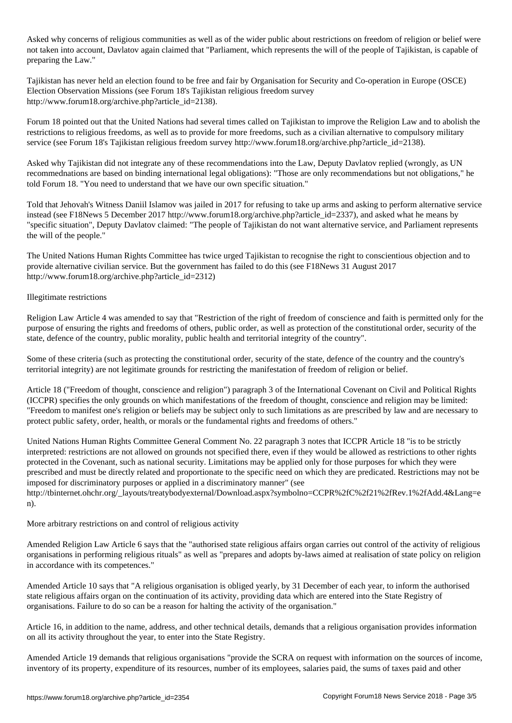Asked why concerns of religious communities as well as of the wider public about restrictions on freedom of religion or belief were not taken into account, Davlatov again claimed that "Parliament, which represents the will of the people of Tajikistan, is capable of preparing the Law."

Tajikistan has never held an election found to be free and fair by Organisation for Security and Co-operation in Europe (OSCE) Election Observation Missions (see Forum 18's Tajikistan religious freedom survey http://www.forum18.org/archive.php?article\_id=2138).

Forum 18 pointed out that the United Nations had several times called on Tajikistan to improve the Religion Law and to abolish the restrictions to religious freedoms, as well as to provide for more freedoms, such as a civilian alternative to compulsory military service (see Forum 18's Tajikistan religious freedom survey http://www.forum18.org/archive.php?article\_id=2138).

Asked why Tajikistan did not integrate any of these recommendations into the Law, Deputy Davlatov replied (wrongly, as UN recommednations are based on binding international legal obligations): "Those are only recommendations but not obligations," he told Forum 18. "You need to understand that we have our own specific situation."

Told that Jehovah's Witness Daniil Islamov was jailed in 2017 for refusing to take up arms and asking to perform alternative service instead (see F18News 5 December 2017 http://www.forum18.org/archive.php?article\_id=2337), and asked what he means by "specific situation", Deputy Davlatov claimed: "The people of Tajikistan do not want alternative service, and Parliament represents the will of the people."

The United Nations Human Rights Committee has twice urged Tajikistan to recognise the right to conscientious objection and to provide alternative civilian service. But the government has failed to do this (see F18News 31 August 2017 http://www.forum18.org/archive.php?article\_id=2312)

### Illegitimate restrictions

Religion Law Article 4 was amended to say that "Restriction of the right of freedom of conscience and faith is permitted only for the purpose of ensuring the rights and freedoms of others, public order, as well as protection of the constitutional order, security of the state, defence of the country, public morality, public health and territorial integrity of the country".

Some of these criteria (such as protecting the constitutional order, security of the state, defence of the country and the country's territorial integrity) are not legitimate grounds for restricting the manifestation of freedom of religion or belief.

Article 18 ("Freedom of thought, conscience and religion") paragraph 3 of the International Covenant on Civil and Political Rights (ICCPR) specifies the only grounds on which manifestations of the freedom of thought, conscience and religion may be limited: "Freedom to manifest one's religion or beliefs may be subject only to such limitations as are prescribed by law and are necessary to protect public safety, order, health, or morals or the fundamental rights and freedoms of others."

United Nations Human Rights Committee General Comment No. 22 paragraph 3 notes that ICCPR Article 18 "is to be strictly interpreted: restrictions are not allowed on grounds not specified there, even if they would be allowed as restrictions to other rights protected in the Covenant, such as national security. Limitations may be applied only for those purposes for which they were prescribed and must be directly related and proportionate to the specific need on which they are predicated. Restrictions may not be imposed for discriminatory purposes or applied in a discriminatory manner" (see http://tbinternet.ohchr.org/\_layouts/treatybodyexternal/Download.aspx?symbolno=CCPR%2fC%2f21%2fRev.1%2fAdd.4&Lang=e n).

More arbitrary restrictions on and control of religious activity

Amended Religion Law Article 6 says that the "authorised state religious affairs organ carries out control of the activity of religious organisations in performing religious rituals" as well as "prepares and adopts by-laws aimed at realisation of state policy on religion in accordance with its competences."

Amended Article 10 says that "A religious organisation is obliged yearly, by 31 December of each year, to inform the authorised state religious affairs organ on the continuation of its activity, providing data which are entered into the State Registry of organisations. Failure to do so can be a reason for halting the activity of the organisation."

Article 16, in addition to the name, address, and other technical details, demands that a religious organisation provides information on all its activity throughout the year, to enter into the State Registry.

Amended Article 19 demands that religious organisations "provide the SCRA on request with information on the sources of income, inventory of its property, expenditure of its resources, number of its employees, salaries paid, the sums of taxes paid and other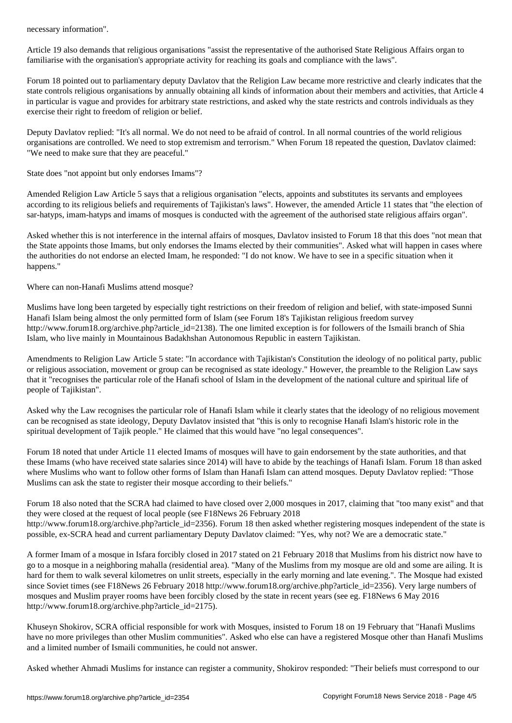Article 19 also demands that religious organisations "assist the representative of the authorised State Religious Affairs organ to familiarise with the organisation's appropriate activity for reaching its goals and compliance with the laws".

Forum 18 pointed out to parliamentary deputy Davlatov that the Religion Law became more restrictive and clearly indicates that the state controls religious organisations by annually obtaining all kinds of information about their members and activities, that Article 4 in particular is vague and provides for arbitrary state restrictions, and asked why the state restricts and controls individuals as they exercise their right to freedom of religion or belief.

Deputy Davlatov replied: "It's all normal. We do not need to be afraid of control. In all normal countries of the world religious organisations are controlled. We need to stop extremism and terrorism." When Forum 18 repeated the question, Davlatov claimed: "We need to make sure that they are peaceful."

State does "not appoint but only endorses Imams"?

Amended Religion Law Article 5 says that a religious organisation "elects, appoints and substitutes its servants and employees according to its religious beliefs and requirements of Tajikistan's laws". However, the amended Article 11 states that "the election of sar-hatyps, imam-hatyps and imams of mosques is conducted with the agreement of the authorised state religious affairs organ".

Asked whether this is not interference in the internal affairs of mosques, Davlatov insisted to Forum 18 that this does "not mean that the State appoints those Imams, but only endorses the Imams elected by their communities". Asked what will happen in cases where the authorities do not endorse an elected Imam, he responded: "I do not know. We have to see in a specific situation when it happens."

Where can non-Hanafi Muslims attend mosque?

Muslims have long been targeted by especially tight restrictions on their freedom of religion and belief, with state-imposed Sunni Hanafi Islam being almost the only permitted form of Islam (see Forum 18's Tajikistan religious freedom survey http://www.forum18.org/archive.php?article\_id=2138). The one limited exception is for followers of the Ismaili branch of Shia Islam, who live mainly in Mountainous Badakhshan Autonomous Republic in eastern Tajikistan.

Amendments to Religion Law Article 5 state: "In accordance with Tajikistan's Constitution the ideology of no political party, public or religious association, movement or group can be recognised as state ideology." However, the preamble to the Religion Law says that it "recognises the particular role of the Hanafi school of Islam in the development of the national culture and spiritual life of people of Tajikistan".

Asked why the Law recognises the particular role of Hanafi Islam while it clearly states that the ideology of no religious movement can be recognised as state ideology, Deputy Davlatov insisted that "this is only to recognise Hanafi Islam's historic role in the spiritual development of Tajik people." He claimed that this would have "no legal consequences".

Forum 18 noted that under Article 11 elected Imams of mosques will have to gain endorsement by the state authorities, and that these Imams (who have received state salaries since 2014) will have to abide by the teachings of Hanafi Islam. Forum 18 than asked where Muslims who want to follow other forms of Islam than Hanafi Islam can attend mosques. Deputy Davlatov replied: "Those Muslims can ask the state to register their mosque according to their beliefs."

Forum 18 also noted that the SCRA had claimed to have closed over 2,000 mosques in 2017, claiming that "too many exist" and that they were closed at the request of local people (see F18News 26 February 2018 http://www.forum18.org/archive.php?article\_id=2356). Forum 18 then asked whether registering mosques independent of the state is possible, ex-SCRA head and current parliamentary Deputy Davlatov claimed: "Yes, why not? We are a democratic state."

A former Imam of a mosque in Isfara forcibly closed in 2017 stated on 21 February 2018 that Muslims from his district now have to go to a mosque in a neighboring mahalla (residential area). "Many of the Muslims from my mosque are old and some are ailing. It is hard for them to walk several kilometres on unlit streets, especially in the early morning and late evening.". The Mosque had existed since Soviet times (see F18News 26 February 2018 http://www.forum18.org/archive.php?article\_id=2356). Very large numbers of mosques and Muslim prayer rooms have been forcibly closed by the state in recent years (see eg. F18News 6 May 2016 http://www.forum18.org/archive.php?article\_id=2175).

Khuseyn Shokirov, SCRA official responsible for work with Mosques, insisted to Forum 18 on 19 February that "Hanafi Muslims have no more privileges than other Muslim communities". Asked who else can have a registered Mosque other than Hanafi Muslims and a limited number of Ismaili communities, he could not answer.

Asked whether Ahmadi Muslims for instance can register a community, Shokirov responded: "Their beliefs must correspond to our